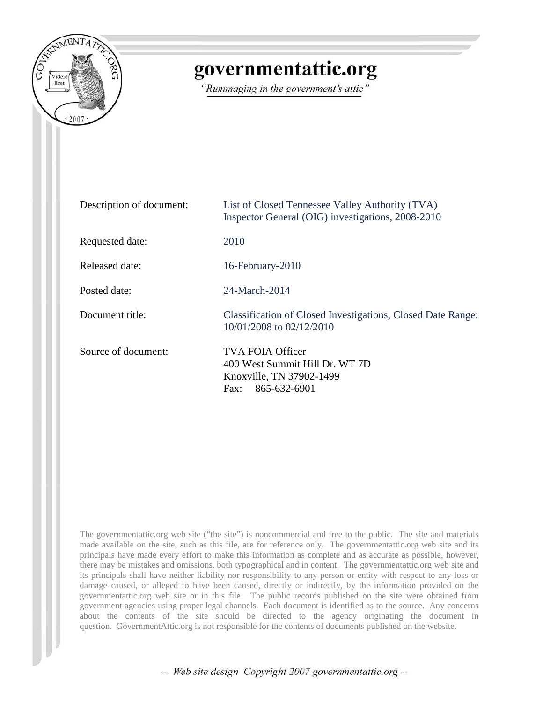

## governmentattic.org

"Rummaging in the government's attic"

| Description of document: | List of Closed Tennessee Valley Authority (TVA)<br>Inspector General (OIG) investigations, 2008-2010          |
|--------------------------|---------------------------------------------------------------------------------------------------------------|
| Requested date:          | 2010                                                                                                          |
| Released date:           | 16-February-2010                                                                                              |
| Posted date:             | 24-March-2014                                                                                                 |
| Document title:          | Classification of Closed Investigations, Closed Date Range:<br>10/01/2008 to 02/12/2010                       |
| Source of document:      | <b>TVA FOIA Officer</b><br>400 West Summit Hill Dr. WT 7D<br>Knoxville, TN 37902-1499<br>865-632-6901<br>Fax: |

The governmentattic.org web site ("the site") is noncommercial and free to the public. The site and materials made available on the site, such as this file, are for reference only. The governmentattic.org web site and its principals have made every effort to make this information as complete and as accurate as possible, however, there may be mistakes and omissions, both typographical and in content. The governmentattic.org web site and its principals shall have neither liability nor responsibility to any person or entity with respect to any loss or damage caused, or alleged to have been caused, directly or indirectly, by the information provided on the governmentattic.org web site or in this file. The public records published on the site were obtained from government agencies using proper legal channels. Each document is identified as to the source. Any concerns about the contents of the site should be directed to the agency originating the document in question. GovernmentAttic.org is not responsible for the contents of documents published on the website.

-- Web site design Copyright 2007 governmentattic.org --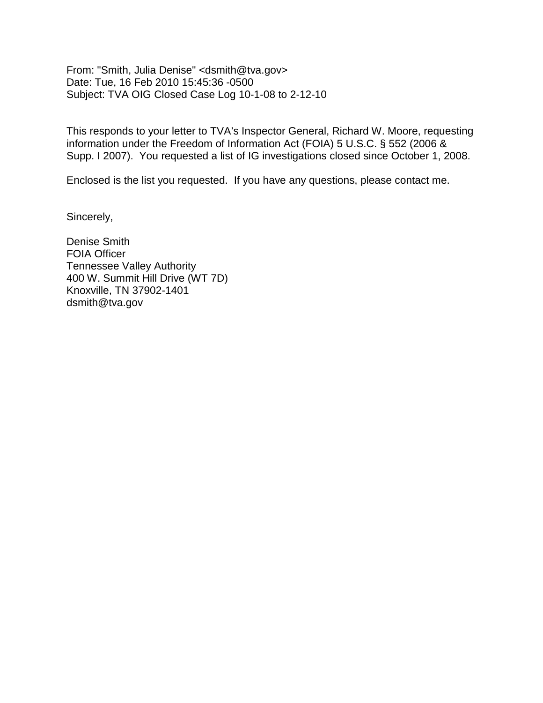From: "Smith, Julia Denise" <dsmith@tva.gov> Date: Tue, 16 Feb 2010 15:45:36 -0500 Subject: TVA OIG Closed Case Log 10-1-08 to 2-12-10

This responds to your letter to TVA's Inspector General, Richard W. Moore, requesting information under the Freedom of Information Act (FOIA) 5 U.S.C. § 552 (2006 & Supp. I 2007). You requested a list of IG investigations closed since October 1, 2008.

Enclosed is the list you requested. If you have any questions, please contact me.

Sincerely,

Denise Smith FOIA Officer Tennessee Valley Authority 400 W. Summit Hill Drive (WT 7D) Knoxville, TN 37902-1401 dsmith@tva.gov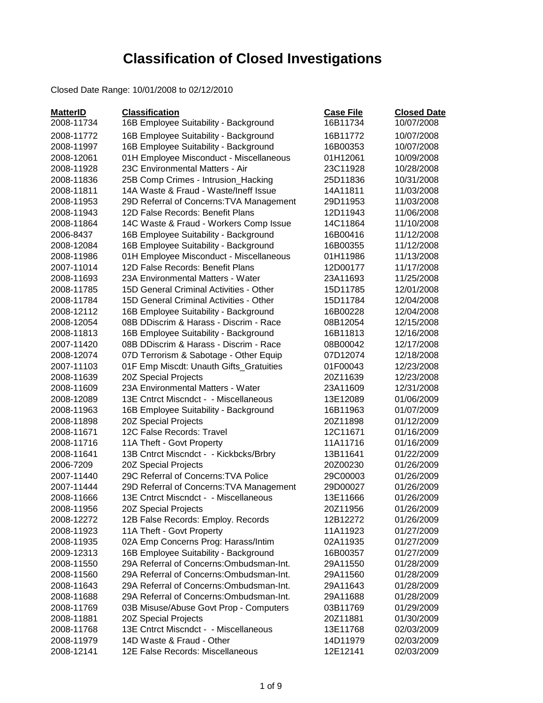## **Classification of Closed Investigations**

Closed Date Range: 10/01/2008 to 02/12/2010

| <b>MatterID</b> | <b>Classification</b>                    | <b>Case File</b> | <b>Closed Date</b> |
|-----------------|------------------------------------------|------------------|--------------------|
| 2008-11734      | 16B Employee Suitability - Background    | 16B11734         | 10/07/2008         |
| 2008-11772      | 16B Employee Suitability - Background    | 16B11772         | 10/07/2008         |
| 2008-11997      | 16B Employee Suitability - Background    | 16B00353         | 10/07/2008         |
| 2008-12061      | 01H Employee Misconduct - Miscellaneous  | 01H12061         | 10/09/2008         |
| 2008-11928      | 23C Environmental Matters - Air          | 23C11928         | 10/28/2008         |
| 2008-11836      | 25B Comp Crimes - Intrusion_Hacking      | 25D11836         | 10/31/2008         |
| 2008-11811      | 14A Waste & Fraud - Waste/Ineff Issue    | 14A11811         | 11/03/2008         |
| 2008-11953      | 29D Referral of Concerns: TVA Management | 29D11953         | 11/03/2008         |
| 2008-11943      | 12D False Records: Benefit Plans         | 12D11943         | 11/06/2008         |
| 2008-11864      | 14C Waste & Fraud - Workers Comp Issue   | 14C11864         | 11/10/2008         |
| 2006-8437       | 16B Employee Suitability - Background    | 16B00416         | 11/12/2008         |
| 2008-12084      | 16B Employee Suitability - Background    | 16B00355         | 11/12/2008         |
| 2008-11986      | 01H Employee Misconduct - Miscellaneous  | 01H11986         | 11/13/2008         |
| 2007-11014      | 12D False Records: Benefit Plans         | 12D00177         | 11/17/2008         |
| 2008-11693      | 23A Environmental Matters - Water        | 23A11693         | 11/25/2008         |
| 2008-11785      | 15D General Criminal Activities - Other  | 15D11785         | 12/01/2008         |
| 2008-11784      | 15D General Criminal Activities - Other  | 15D11784         | 12/04/2008         |
| 2008-12112      | 16B Employee Suitability - Background    | 16B00228         | 12/04/2008         |
| 2008-12054      | 08B DDiscrim & Harass - Discrim - Race   | 08B12054         | 12/15/2008         |
| 2008-11813      | 16B Employee Suitability - Background    | 16B11813         | 12/16/2008         |
| 2007-11420      | 08B DDiscrim & Harass - Discrim - Race   | 08B00042         | 12/17/2008         |
| 2008-12074      | 07D Terrorism & Sabotage - Other Equip   | 07D12074         | 12/18/2008         |
| 2007-11103      | 01F Emp Miscdt: Unauth Gifts_Gratuities  | 01F00043         | 12/23/2008         |
| 2008-11639      | 20Z Special Projects                     | 20Z11639         | 12/23/2008         |
| 2008-11609      | 23A Environmental Matters - Water        | 23A11609         | 12/31/2008         |
| 2008-12089      | 13E Cntrct Miscndct - - Miscellaneous    | 13E12089         | 01/06/2009         |
| 2008-11963      | 16B Employee Suitability - Background    | 16B11963         | 01/07/2009         |
| 2008-11898      | 20Z Special Projects                     | 20Z11898         | 01/12/2009         |
| 2008-11671      | 12C False Records: Travel                | 12C11671         | 01/16/2009         |
| 2008-11716      | 11A Theft - Govt Property                | 11A11716         | 01/16/2009         |
| 2008-11641      | 13B Cntrct Miscndct - - Kickbcks/Brbry   | 13B11641         | 01/22/2009         |
| 2006-7209       | 20Z Special Projects                     | 20Z00230         | 01/26/2009         |
| 2007-11440      | 29C Referral of Concerns: TVA Police     | 29C00003         | 01/26/2009         |
| 2007-11444      | 29D Referral of Concerns: TVA Management | 29D00027         | 01/26/2009         |
| 2008-11666      | 13E Cntrct Miscndct - - Miscellaneous    | 13E11666         | 01/26/2009         |
| 2008-11956      | 20Z Special Projects                     | 20Z11956         | 01/26/2009         |
| 2008-12272      | 12B False Records: Employ. Records       | 12B12272         | 01/26/2009         |
| 2008-11923      | 11A Theft - Govt Property                | 11A11923         | 01/27/2009         |
| 2008-11935      | 02A Emp Concerns Prog: Harass/Intim      | 02A11935         | 01/27/2009         |
| 2009-12313      | 16B Employee Suitability - Background    | 16B00357         | 01/27/2009         |
| 2008-11550      | 29A Referral of Concerns: Ombudsman-Int. | 29A11550         | 01/28/2009         |
| 2008-11560      | 29A Referral of Concerns: Ombudsman-Int. | 29A11560         | 01/28/2009         |
| 2008-11643      | 29A Referral of Concerns: Ombudsman-Int. | 29A11643         | 01/28/2009         |
| 2008-11688      | 29A Referral of Concerns: Ombudsman-Int. | 29A11688         | 01/28/2009         |
| 2008-11769      | 03B Misuse/Abuse Govt Prop - Computers   | 03B11769         | 01/29/2009         |
| 2008-11881      | 20Z Special Projects                     | 20Z11881         | 01/30/2009         |
| 2008-11768      | 13E Cntrct Miscndct - - Miscellaneous    | 13E11768         | 02/03/2009         |
| 2008-11979      | 14D Waste & Fraud - Other                | 14D11979         | 02/03/2009         |
| 2008-12141      | 12E False Records: Miscellaneous         | 12E12141         | 02/03/2009         |
|                 |                                          |                  |                    |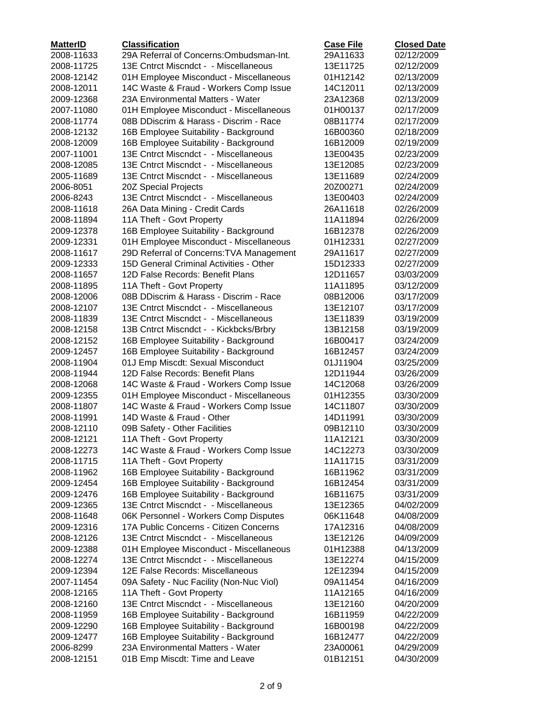| <b>MatterID</b> | <b>Classification</b>                    | <b>Case File</b> | <b>Closed Date</b> |
|-----------------|------------------------------------------|------------------|--------------------|
| 2008-11633      | 29A Referral of Concerns: Ombudsman-Int. | 29A11633         | 02/12/2009         |
| 2008-11725      | 13E Cntrct Miscndct - - Miscellaneous    | 13E11725         | 02/12/2009         |
| 2008-12142      | 01H Employee Misconduct - Miscellaneous  | 01H12142         | 02/13/2009         |
| 2008-12011      | 14C Waste & Fraud - Workers Comp Issue   | 14C12011         | 02/13/2009         |
| 2009-12368      | 23A Environmental Matters - Water        | 23A12368         | 02/13/2009         |
| 2007-11080      | 01H Employee Misconduct - Miscellaneous  | 01H00137         | 02/17/2009         |
| 2008-11774      | 08B DDiscrim & Harass - Discrim - Race   | 08B11774         | 02/17/2009         |
| 2008-12132      | 16B Employee Suitability - Background    | 16B00360         | 02/18/2009         |
| 2008-12009      | 16B Employee Suitability - Background    | 16B12009         | 02/19/2009         |
| 2007-11001      | 13E Cntrct Miscndct - - Miscellaneous    | 13E00435         | 02/23/2009         |
| 2008-12085      | 13E Cntrct Miscndct - - Miscellaneous    | 13E12085         | 02/23/2009         |
| 2005-11689      | 13E Cntrct Miscndct - - Miscellaneous    | 13E11689         | 02/24/2009         |
| 2006-8051       | 20Z Special Projects                     | 20Z00271         | 02/24/2009         |
| 2006-8243       | 13E Cntrct Miscndct - - Miscellaneous    | 13E00403         | 02/24/2009         |
| 2008-11618      | 26A Data Mining - Credit Cards           | 26A11618         | 02/26/2009         |
| 2008-11894      | 11A Theft - Govt Property                | 11A11894         | 02/26/2009         |
| 2009-12378      | 16B Employee Suitability - Background    | 16B12378         | 02/26/2009         |
| 2009-12331      | 01H Employee Misconduct - Miscellaneous  | 01H12331         | 02/27/2009         |
| 2008-11617      | 29D Referral of Concerns: TVA Management | 29A11617         | 02/27/2009         |
| 2009-12333      | 15D General Criminal Activities - Other  | 15D12333         | 02/27/2009         |
| 2008-11657      | 12D False Records: Benefit Plans         | 12D11657         | 03/03/2009         |
| 2008-11895      | 11A Theft - Govt Property                | 11A11895         | 03/12/2009         |
| 2008-12006      | 08B DDiscrim & Harass - Discrim - Race   | 08B12006         | 03/17/2009         |
| 2008-12107      | 13E Cntrct Miscndct - - Miscellaneous    | 13E12107         | 03/17/2009         |
| 2008-11839      | 13E Cntrct Miscndct - - Miscellaneous    | 13E11839         | 03/19/2009         |
| 2008-12158      | 13B Cntrct Miscndct - - Kickbcks/Brbry   | 13B12158         | 03/19/2009         |
| 2008-12152      | 16B Employee Suitability - Background    | 16B00417         | 03/24/2009         |
| 2009-12457      | 16B Employee Suitability - Background    | 16B12457         | 03/24/2009         |
| 2008-11904      | 01J Emp Miscdt: Sexual Misconduct        | 01J11904         | 03/25/2009         |
| 2008-11944      | 12D False Records: Benefit Plans         | 12D11944         | 03/26/2009         |
| 2008-12068      | 14C Waste & Fraud - Workers Comp Issue   | 14C12068         | 03/26/2009         |
| 2009-12355      | 01H Employee Misconduct - Miscellaneous  | 01H12355         | 03/30/2009         |
| 2008-11807      | 14C Waste & Fraud - Workers Comp Issue   | 14C11807         | 03/30/2009         |
| 2008-11991      | 14D Waste & Fraud - Other                | 14D11991         | 03/30/2009         |
| 2008-12110      | 09B Safety - Other Facilities            | 09B12110         | 03/30/2009         |
| 2008-12121      | 11A Theft - Govt Property                | 11A12121         | 03/30/2009         |
| 2008-12273      | 14C Waste & Fraud - Workers Comp Issue   | 14C12273         | 03/30/2009         |
| 2008-11715      | 11A Theft - Govt Property                | 11A11715         | 03/31/2009         |
| 2008-11962      | 16B Employee Suitability - Background    | 16B11962         | 03/31/2009         |
| 2009-12454      | 16B Employee Suitability - Background    | 16B12454         | 03/31/2009         |
| 2009-12476      | 16B Employee Suitability - Background    | 16B11675         | 03/31/2009         |
| 2009-12365      | 13E Cntrct Miscndct - - Miscellaneous    | 13E12365         | 04/02/2009         |
| 2008-11648      | 06K Personnel - Workers Comp Disputes    | 06K11648         | 04/08/2009         |
| 2009-12316      | 17A Public Concerns - Citizen Concerns   | 17A12316         | 04/08/2009         |
| 2008-12126      | 13E Cntrct Miscndct - - Miscellaneous    | 13E12126         | 04/09/2009         |
| 2009-12388      | 01H Employee Misconduct - Miscellaneous  | 01H12388         | 04/13/2009         |
| 2008-12274      | 13E Cntrct Miscndct - - Miscellaneous    | 13E12274         | 04/15/2009         |
| 2009-12394      | 12E False Records: Miscellaneous         | 12E12394         | 04/15/2009         |
| 2007-11454      | 09A Safety - Nuc Facility (Non-Nuc Viol) | 09A11454         | 04/16/2009         |
| 2008-12165      | 11A Theft - Govt Property                | 11A12165         | 04/16/2009         |
| 2008-12160      | 13E Cntrct Miscndct - - Miscellaneous    | 13E12160         | 04/20/2009         |
| 2008-11959      | 16B Employee Suitability - Background    | 16B11959         | 04/22/2009         |
| 2009-12290      | 16B Employee Suitability - Background    | 16B00198         | 04/22/2009         |
| 2009-12477      | 16B Employee Suitability - Background    | 16B12477         | 04/22/2009         |
| 2006-8299       | 23A Environmental Matters - Water        | 23A00061         | 04/29/2009         |
| 2008-12151      | 01B Emp Miscdt: Time and Leave           | 01B12151         | 04/30/2009         |
|                 |                                          |                  |                    |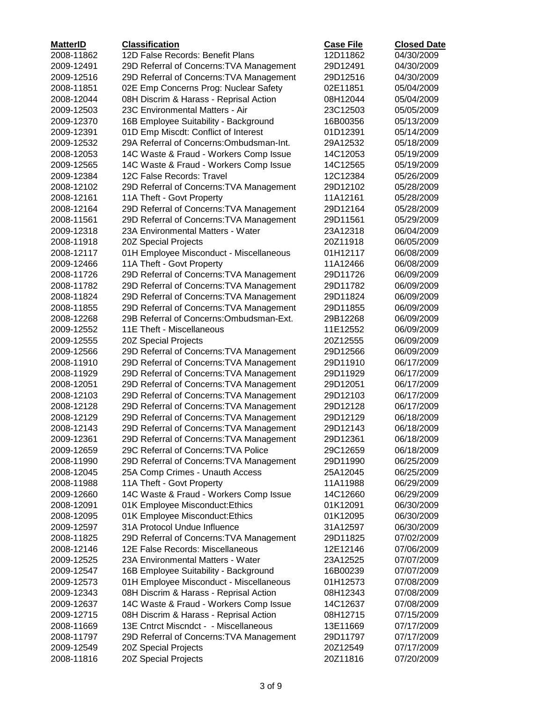| <b>MatterID</b>          | <b>Classification</b>                                                            | <b>Case File</b>     | <b>Closed Date</b>       |
|--------------------------|----------------------------------------------------------------------------------|----------------------|--------------------------|
| 2008-11862               | 12D False Records: Benefit Plans                                                 | 12D11862             | 04/30/2009               |
| 2009-12491               | 29D Referral of Concerns: TVA Management                                         | 29D12491             | 04/30/2009               |
| 2009-12516               | 29D Referral of Concerns: TVA Management                                         | 29D12516             | 04/30/2009               |
| 2008-11851               | 02E Emp Concerns Prog: Nuclear Safety                                            | 02E11851             | 05/04/2009               |
| 2008-12044               | 08H Discrim & Harass - Reprisal Action                                           | 08H12044             | 05/04/2009               |
| 2009-12503               | 23C Environmental Matters - Air                                                  | 23C12503             | 05/05/2009               |
| 2009-12370               | 16B Employee Suitability - Background                                            | 16B00356             | 05/13/2009               |
| 2009-12391               | 01D Emp Miscdt: Conflict of Interest                                             | 01D12391             | 05/14/2009               |
| 2009-12532               | 29A Referral of Concerns: Ombudsman-Int.                                         | 29A12532             | 05/18/2009               |
| 2008-12053               | 14C Waste & Fraud - Workers Comp Issue                                           | 14C12053             | 05/19/2009               |
| 2009-12565               | 14C Waste & Fraud - Workers Comp Issue                                           | 14C12565             | 05/19/2009               |
| 2009-12384               | 12C False Records: Travel                                                        | 12C12384             | 05/26/2009               |
| 2008-12102               | 29D Referral of Concerns: TVA Management                                         | 29D12102             | 05/28/2009               |
| 2008-12161               | 11A Theft - Govt Property                                                        | 11A12161             | 05/28/2009               |
| 2008-12164               | 29D Referral of Concerns: TVA Management                                         | 29D12164             | 05/28/2009               |
| 2008-11561               | 29D Referral of Concerns: TVA Management                                         | 29D11561             | 05/29/2009               |
| 2009-12318               | 23A Environmental Matters - Water                                                | 23A12318             | 06/04/2009               |
| 2008-11918               | 20Z Special Projects                                                             | 20Z11918             | 06/05/2009               |
| 2008-12117               | 01H Employee Misconduct - Miscellaneous                                          | 01H12117             | 06/08/2009               |
| 2009-12466               | 11A Theft - Govt Property                                                        | 11A12466             | 06/08/2009               |
| 2008-11726               | 29D Referral of Concerns: TVA Management                                         | 29D11726             | 06/09/2009               |
| 2008-11782               | 29D Referral of Concerns: TVA Management                                         | 29D11782             | 06/09/2009               |
| 2008-11824               | 29D Referral of Concerns: TVA Management                                         | 29D11824             | 06/09/2009               |
| 2008-11855               | 29D Referral of Concerns: TVA Management                                         | 29D11855             | 06/09/2009               |
| 2008-12268               | 29B Referral of Concerns: Ombudsman-Ext.                                         | 29B12268             | 06/09/2009               |
| 2009-12552               | 11E Theft - Miscellaneous                                                        | 11E12552             | 06/09/2009               |
| 2009-12555               | 20Z Special Projects                                                             | 20Z12555             | 06/09/2009               |
| 2009-12566               | 29D Referral of Concerns: TVA Management                                         | 29D12566             | 06/09/2009               |
| 2008-11910               | 29D Referral of Concerns: TVA Management                                         | 29D11910             | 06/17/2009               |
| 2008-11929               | 29D Referral of Concerns: TVA Management                                         | 29D11929             | 06/17/2009               |
| 2008-12051               | 29D Referral of Concerns: TVA Management                                         | 29D12051             | 06/17/2009               |
| 2008-12103               | 29D Referral of Concerns: TVA Management                                         | 29D12103             | 06/17/2009               |
| 2008-12128               | 29D Referral of Concerns: TVA Management                                         | 29D12128             | 06/17/2009               |
| 2008-12129               | 29D Referral of Concerns: TVA Management                                         | 29D12129             | 06/18/2009               |
| 2008-12143               | 29D Referral of Concerns: TVA Management                                         | 29D12143             | 06/18/2009               |
| 2009-12361               | 29D Referral of Concerns: TVA Management                                         | 29D12361             | 06/18/2009               |
| 2009-12659               | 29C Referral of Concerns: TVA Police                                             | 29C12659             | 06/18/2009               |
| 2008-11990               | 29D Referral of Concerns: TVA Management                                         | 29D11990             | 06/25/2009               |
| 2008-12045               | 25A Comp Crimes - Unauth Access                                                  | 25A12045             | 06/25/2009               |
| 2008-11988               | 11A Theft - Govt Property                                                        | 11A11988             | 06/29/2009               |
| 2009-12660               | 14C Waste & Fraud - Workers Comp Issue                                           | 14C12660             | 06/29/2009               |
| 2008-12091               | 01K Employee Misconduct: Ethics                                                  | 01K12091             | 06/30/2009               |
| 2008-12095               | 01K Employee Misconduct: Ethics                                                  | 01K12095             | 06/30/2009               |
| 2009-12597               | 31A Protocol Undue Influence                                                     | 31A12597             | 06/30/2009               |
| 2008-11825               | 29D Referral of Concerns: TVA Management                                         | 29D11825             | 07/02/2009               |
| 2008-12146               | 12E False Records: Miscellaneous                                                 | 12E12146             | 07/06/2009               |
| 2009-12525               | 23A Environmental Matters - Water                                                | 23A12525             | 07/07/2009               |
| 2009-12547               | 16B Employee Suitability - Background<br>01H Employee Misconduct - Miscellaneous | 16B00239<br>01H12573 | 07/07/2009<br>07/08/2009 |
| 2009-12573               |                                                                                  |                      |                          |
| 2009-12343<br>2009-12637 | 08H Discrim & Harass - Reprisal Action<br>14C Waste & Fraud - Workers Comp Issue | 08H12343<br>14C12637 | 07/08/2009<br>07/08/2009 |
| 2009-12715               | 08H Discrim & Harass - Reprisal Action                                           | 08H12715             | 07/15/2009               |
| 2008-11669               | 13E Cntrct Miscndct - - Miscellaneous                                            | 13E11669             | 07/17/2009               |
| 2008-11797               | 29D Referral of Concerns: TVA Management                                         | 29D11797             | 07/17/2009               |
| 2009-12549               | 20Z Special Projects                                                             | 20Z12549             | 07/17/2009               |
| 2008-11816               | 20Z Special Projects                                                             | 20Z11816             | 07/20/2009               |
|                          |                                                                                  |                      |                          |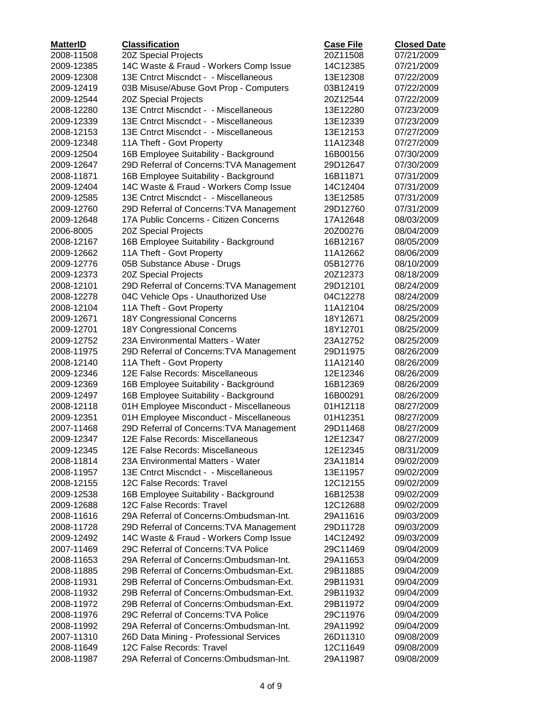| <b>MatterID</b> | <b>Classification</b>                    | <b>Case File</b> | <b>Closed Date</b> |
|-----------------|------------------------------------------|------------------|--------------------|
| 2008-11508      | 20Z Special Projects                     | 20Z11508         | 07/21/2009         |
| 2009-12385      | 14C Waste & Fraud - Workers Comp Issue   | 14C12385         | 07/21/2009         |
| 2009-12308      | 13E Cntrct Miscndct - - Miscellaneous    | 13E12308         | 07/22/2009         |
| 2009-12419      | 03B Misuse/Abuse Govt Prop - Computers   | 03B12419         | 07/22/2009         |
| 2009-12544      | 20Z Special Projects                     | 20Z12544         | 07/22/2009         |
| 2008-12280      | 13E Cntrct Miscndct - - Miscellaneous    | 13E12280         | 07/23/2009         |
| 2009-12339      | 13E Cntrct Miscndct - - Miscellaneous    | 13E12339         | 07/23/2009         |
| 2008-12153      | 13E Cntrct Miscndct - - Miscellaneous    | 13E12153         | 07/27/2009         |
| 2009-12348      | 11A Theft - Govt Property                | 11A12348         | 07/27/2009         |
| 2009-12504      | 16B Employee Suitability - Background    | 16B00156         | 07/30/2009         |
| 2009-12647      | 29D Referral of Concerns: TVA Management | 29D12647         | 07/30/2009         |
| 2008-11871      | 16B Employee Suitability - Background    | 16B11871         | 07/31/2009         |
| 2009-12404      | 14C Waste & Fraud - Workers Comp Issue   | 14C12404         | 07/31/2009         |
| 2009-12585      | 13E Cntrct Miscndct - - Miscellaneous    | 13E12585         | 07/31/2009         |
| 2009-12760      | 29D Referral of Concerns: TVA Management | 29D12760         | 07/31/2009         |
| 2009-12648      | 17A Public Concerns - Citizen Concerns   | 17A12648         | 08/03/2009         |
| 2006-8005       | 20Z Special Projects                     | 20Z00276         | 08/04/2009         |
| 2008-12167      | 16B Employee Suitability - Background    | 16B12167         | 08/05/2009         |
| 2009-12662      | 11A Theft - Govt Property                | 11A12662         | 08/06/2009         |
| 2009-12776      | 05B Substance Abuse - Drugs              | 05B12776         | 08/10/2009         |
| 2009-12373      | 20Z Special Projects                     | 20Z12373         | 08/18/2009         |
| 2008-12101      | 29D Referral of Concerns: TVA Management | 29D12101         | 08/24/2009         |
| 2008-12278      | 04C Vehicle Ops - Unauthorized Use       | 04C12278         | 08/24/2009         |
| 2008-12104      | 11A Theft - Govt Property                | 11A12104         | 08/25/2009         |
| 2009-12671      | 18Y Congressional Concerns               | 18Y12671         | 08/25/2009         |
| 2009-12701      | 18Y Congressional Concerns               | 18Y12701         | 08/25/2009         |
| 2009-12752      | 23A Environmental Matters - Water        | 23A12752         | 08/25/2009         |
| 2008-11975      | 29D Referral of Concerns: TVA Management | 29D11975         | 08/26/2009         |
| 2008-12140      | 11A Theft - Govt Property                | 11A12140         | 08/26/2009         |
| 2009-12346      | 12E False Records: Miscellaneous         | 12E12346         | 08/26/2009         |
| 2009-12369      | 16B Employee Suitability - Background    | 16B12369         | 08/26/2009         |
| 2009-12497      | 16B Employee Suitability - Background    | 16B00291         | 08/26/2009         |
| 2008-12118      | 01H Employee Misconduct - Miscellaneous  | 01H12118         | 08/27/2009         |
| 2009-12351      | 01H Employee Misconduct - Miscellaneous  | 01H12351         | 08/27/2009         |
| 2007-11468      | 29D Referral of Concerns: TVA Management | 29D11468         | 08/27/2009         |
| 2009-12347      | 12E False Records: Miscellaneous         | 12E12347         | 08/27/2009         |
| 2009-12345      | 12E False Records: Miscellaneous         | 12E12345         | 08/31/2009         |
| 2008-11814      | 23A Environmental Matters - Water        | 23A11814         | 09/02/2009         |
| 2008-11957      | 13E Cntrct Miscndct - - Miscellaneous    | 13E11957         | 09/02/2009         |
| 2008-12155      | 12C False Records: Travel                | 12C12155         | 09/02/2009         |
| 2009-12538      | 16B Employee Suitability - Background    | 16B12538         | 09/02/2009         |
| 2009-12688      | 12C False Records: Travel                | 12C12688         | 09/02/2009         |
| 2008-11616      | 29A Referral of Concerns: Ombudsman-Int. | 29A11616         | 09/03/2009         |
| 2008-11728      | 29D Referral of Concerns: TVA Management | 29D11728         | 09/03/2009         |
| 2009-12492      | 14C Waste & Fraud - Workers Comp Issue   | 14C12492         | 09/03/2009         |
|                 | 29C Referral of Concerns: TVA Police     |                  |                    |
| 2007-11469      | 29A Referral of Concerns: Ombudsman-Int. | 29C11469         | 09/04/2009         |
| 2008-11653      |                                          | 29A11653         | 09/04/2009         |
| 2008-11885      | 29B Referral of Concerns: Ombudsman-Ext. | 29B11885         | 09/04/2009         |
| 2008-11931      | 29B Referral of Concerns: Ombudsman-Ext. | 29B11931         | 09/04/2009         |
| 2008-11932      | 29B Referral of Concerns: Ombudsman-Ext. | 29B11932         | 09/04/2009         |
| 2008-11972      | 29B Referral of Concerns: Ombudsman-Ext. | 29B11972         | 09/04/2009         |
| 2008-11976      | 29C Referral of Concerns: TVA Police     | 29C11976         | 09/04/2009         |
| 2008-11992      | 29A Referral of Concerns: Ombudsman-Int. | 29A11992         | 09/04/2009         |
| 2007-11310      | 26D Data Mining - Professional Services  | 26D11310         | 09/08/2009         |
| 2008-11649      | 12C False Records: Travel                | 12C11649         | 09/08/2009         |
| 2008-11987      | 29A Referral of Concerns: Ombudsman-Int. | 29A11987         | 09/08/2009         |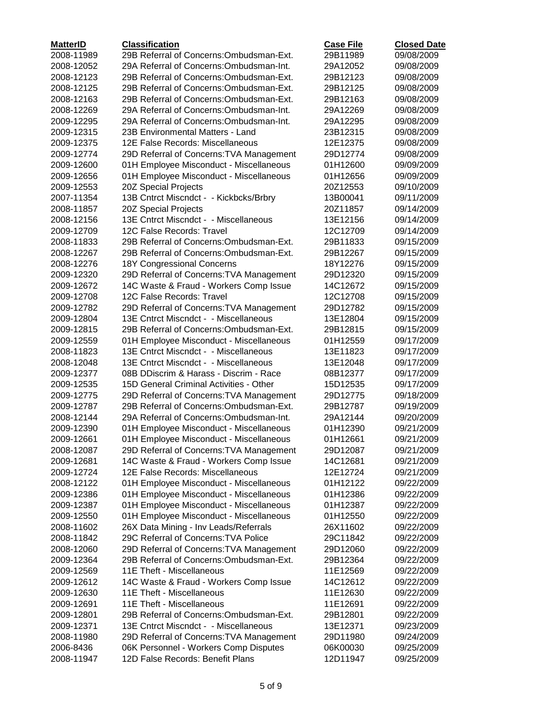| <b>MatterID</b> | <b>Classification</b>                    | <b>Case File</b> | <b>Closed Date</b> |
|-----------------|------------------------------------------|------------------|--------------------|
| 2008-11989      | 29B Referral of Concerns: Ombudsman-Ext. | 29B11989         | 09/08/2009         |
| 2008-12052      | 29A Referral of Concerns: Ombudsman-Int. | 29A12052         | 09/08/2009         |
| 2008-12123      | 29B Referral of Concerns: Ombudsman-Ext. | 29B12123         | 09/08/2009         |
| 2008-12125      | 29B Referral of Concerns: Ombudsman-Ext. | 29B12125         | 09/08/2009         |
| 2008-12163      | 29B Referral of Concerns: Ombudsman-Ext. | 29B12163         | 09/08/2009         |
| 2008-12269      | 29A Referral of Concerns: Ombudsman-Int. | 29A12269         | 09/08/2009         |
| 2009-12295      | 29A Referral of Concerns: Ombudsman-Int. | 29A12295         | 09/08/2009         |
| 2009-12315      | 23B Environmental Matters - Land         | 23B12315         | 09/08/2009         |
| 2009-12375      | 12E False Records: Miscellaneous         | 12E12375         | 09/08/2009         |
| 2009-12774      | 29D Referral of Concerns: TVA Management | 29D12774         | 09/08/2009         |
| 2009-12600      | 01H Employee Misconduct - Miscellaneous  | 01H12600         | 09/09/2009         |
| 2009-12656      | 01H Employee Misconduct - Miscellaneous  | 01H12656         | 09/09/2009         |
| 2009-12553      | 20Z Special Projects                     | 20Z12553         | 09/10/2009         |
| 2007-11354      | 13B Cntrct Miscndct - - Kickbcks/Brbry   | 13B00041         | 09/11/2009         |
| 2008-11857      | 20Z Special Projects                     | 20Z11857         | 09/14/2009         |
| 2008-12156      | 13E Cntrct Miscndct - - Miscellaneous    | 13E12156         | 09/14/2009         |
| 2009-12709      | 12C False Records: Travel                | 12C12709         | 09/14/2009         |
| 2008-11833      | 29B Referral of Concerns: Ombudsman-Ext. | 29B11833         | 09/15/2009         |
| 2008-12267      | 29B Referral of Concerns: Ombudsman-Ext. | 29B12267         | 09/15/2009         |
| 2008-12276      | 18Y Congressional Concerns               | 18Y12276         | 09/15/2009         |
| 2009-12320      | 29D Referral of Concerns: TVA Management | 29D12320         | 09/15/2009         |
| 2009-12672      | 14C Waste & Fraud - Workers Comp Issue   | 14C12672         | 09/15/2009         |
| 2009-12708      | 12C False Records: Travel                | 12C12708         | 09/15/2009         |
| 2009-12782      | 29D Referral of Concerns: TVA Management | 29D12782         | 09/15/2009         |
| 2009-12804      | 13E Cntrct Miscndct - - Miscellaneous    | 13E12804         | 09/15/2009         |
| 2009-12815      | 29B Referral of Concerns: Ombudsman-Ext. | 29B12815         | 09/15/2009         |
| 2009-12559      | 01H Employee Misconduct - Miscellaneous  | 01H12559         | 09/17/2009         |
| 2008-11823      | 13E Cntrct Miscndct - - Miscellaneous    | 13E11823         | 09/17/2009         |
| 2008-12048      | 13E Cntrct Miscndct - - Miscellaneous    | 13E12048         | 09/17/2009         |
| 2009-12377      | 08B DDiscrim & Harass - Discrim - Race   | 08B12377         | 09/17/2009         |
| 2009-12535      | 15D General Criminal Activities - Other  | 15D12535         | 09/17/2009         |
| 2009-12775      | 29D Referral of Concerns: TVA Management | 29D12775         | 09/18/2009         |
| 2009-12787      | 29B Referral of Concerns: Ombudsman-Ext. | 29B12787         | 09/19/2009         |
| 2008-12144      | 29A Referral of Concerns: Ombudsman-Int. | 29A12144         | 09/20/2009         |
| 2009-12390      | 01H Employee Misconduct - Miscellaneous  | 01H12390         | 09/21/2009         |
| 2009-12661      | 01H Employee Misconduct - Miscellaneous  | 01H12661         | 09/21/2009         |
| 2008-12087      | 29D Referral of Concerns: TVA Management | 29D12087         | 09/21/2009         |
| 2009-12681      | 14C Waste & Fraud - Workers Comp Issue   | 14C12681         | 09/21/2009         |
| 2009-12724      | 12E False Records: Miscellaneous         | 12E12724         | 09/21/2009         |
| 2008-12122      | 01H Employee Misconduct - Miscellaneous  | 01H12122         | 09/22/2009         |
| 2009-12386      | 01H Employee Misconduct - Miscellaneous  | 01H12386         | 09/22/2009         |
| 2009-12387      | 01H Employee Misconduct - Miscellaneous  | 01H12387         | 09/22/2009         |
| 2009-12550      | 01H Employee Misconduct - Miscellaneous  | 01H12550         | 09/22/2009         |
| 2008-11602      | 26X Data Mining - Inv Leads/Referrals    | 26X11602         | 09/22/2009         |
| 2008-11842      | 29C Referral of Concerns: TVA Police     | 29C11842         | 09/22/2009         |
| 2008-12060      | 29D Referral of Concerns: TVA Management | 29D12060         | 09/22/2009         |
| 2009-12364      | 29B Referral of Concerns: Ombudsman-Ext. | 29B12364         | 09/22/2009         |
| 2009-12569      | 11E Theft - Miscellaneous                | 11E12569         | 09/22/2009         |
| 2009-12612      | 14C Waste & Fraud - Workers Comp Issue   | 14C12612         | 09/22/2009         |
| 2009-12630      | 11E Theft - Miscellaneous                | 11E12630         | 09/22/2009         |
| 2009-12691      | 11E Theft - Miscellaneous                | 11E12691         | 09/22/2009         |
| 2009-12801      | 29B Referral of Concerns: Ombudsman-Ext. | 29B12801         | 09/22/2009         |
| 2009-12371      | 13E Cntrct Miscndct - - Miscellaneous    | 13E12371         | 09/23/2009         |
| 2008-11980      | 29D Referral of Concerns: TVA Management | 29D11980         | 09/24/2009         |
| 2006-8436       | 06K Personnel - Workers Comp Disputes    | 06K00030         | 09/25/2009         |
| 2008-11947      | 12D False Records: Benefit Plans         | 12D11947         | 09/25/2009         |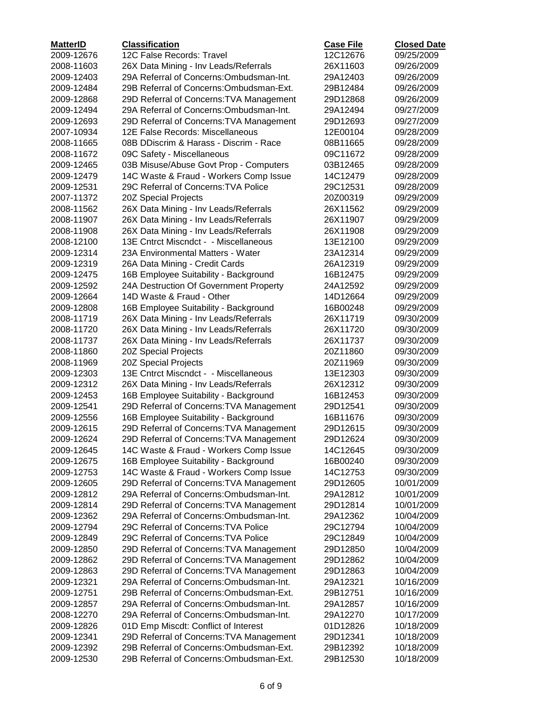| <b>MatterID</b> | <b>Classification</b>                    | <b>Case File</b> | <b>Closed Date</b> |
|-----------------|------------------------------------------|------------------|--------------------|
| 2009-12676      | 12C False Records: Travel                | 12C12676         | 09/25/2009         |
| 2008-11603      | 26X Data Mining - Inv Leads/Referrals    | 26X11603         | 09/26/2009         |
| 2009-12403      | 29A Referral of Concerns: Ombudsman-Int. | 29A12403         | 09/26/2009         |
| 2009-12484      | 29B Referral of Concerns: Ombudsman-Ext. | 29B12484         | 09/26/2009         |
| 2009-12868      | 29D Referral of Concerns: TVA Management | 29D12868         | 09/26/2009         |
| 2009-12494      | 29A Referral of Concerns: Ombudsman-Int. | 29A12494         | 09/27/2009         |
| 2009-12693      | 29D Referral of Concerns: TVA Management | 29D12693         | 09/27/2009         |
| 2007-10934      | 12E False Records: Miscellaneous         | 12E00104         | 09/28/2009         |
| 2008-11665      | 08B DDiscrim & Harass - Discrim - Race   | 08B11665         | 09/28/2009         |
| 2008-11672      | 09C Safety - Miscellaneous               | 09C11672         | 09/28/2009         |
| 2009-12465      | 03B Misuse/Abuse Govt Prop - Computers   | 03B12465         | 09/28/2009         |
| 2009-12479      | 14C Waste & Fraud - Workers Comp Issue   | 14C12479         | 09/28/2009         |
| 2009-12531      | 29C Referral of Concerns: TVA Police     | 29C12531         | 09/28/2009         |
| 2007-11372      | 20Z Special Projects                     | 20Z00319         | 09/29/2009         |
| 2008-11562      | 26X Data Mining - Inv Leads/Referrals    | 26X11562         | 09/29/2009         |
| 2008-11907      | 26X Data Mining - Inv Leads/Referrals    | 26X11907         | 09/29/2009         |
| 2008-11908      | 26X Data Mining - Inv Leads/Referrals    | 26X11908         | 09/29/2009         |
| 2008-12100      | 13E Cntrct Miscndct - - Miscellaneous    | 13E12100         | 09/29/2009         |
| 2009-12314      | 23A Environmental Matters - Water        | 23A12314         | 09/29/2009         |
| 2009-12319      | 26A Data Mining - Credit Cards           | 26A12319         | 09/29/2009         |
| 2009-12475      | 16B Employee Suitability - Background    | 16B12475         | 09/29/2009         |
| 2009-12592      | 24A Destruction Of Government Property   | 24A12592         | 09/29/2009         |
| 2009-12664      | 14D Waste & Fraud - Other                | 14D12664         | 09/29/2009         |
| 2009-12808      | 16B Employee Suitability - Background    | 16B00248         | 09/29/2009         |
| 2008-11719      | 26X Data Mining - Inv Leads/Referrals    | 26X11719         | 09/30/2009         |
| 2008-11720      | 26X Data Mining - Inv Leads/Referrals    | 26X11720         | 09/30/2009         |
| 2008-11737      | 26X Data Mining - Inv Leads/Referrals    | 26X11737         | 09/30/2009         |
| 2008-11860      | 20Z Special Projects                     | 20Z11860         | 09/30/2009         |
| 2008-11969      | 20Z Special Projects                     | 20Z11969         | 09/30/2009         |
| 2009-12303      | 13E Cntrct Miscndct - - Miscellaneous    | 13E12303         | 09/30/2009         |
| 2009-12312      | 26X Data Mining - Inv Leads/Referrals    | 26X12312         | 09/30/2009         |
| 2009-12453      | 16B Employee Suitability - Background    | 16B12453         | 09/30/2009         |
| 2009-12541      | 29D Referral of Concerns: TVA Management | 29D12541         | 09/30/2009         |
| 2009-12556      | 16B Employee Suitability - Background    | 16B11676         | 09/30/2009         |
| 2009-12615      | 29D Referral of Concerns: TVA Management | 29D12615         | 09/30/2009         |
| 2009-12624      | 29D Referral of Concerns: TVA Management | 29D12624         | 09/30/2009         |
| 2009-12645      | 14C Waste & Fraud - Workers Comp Issue   | 14C12645         | 09/30/2009         |
| 2009-12675      | 16B Employee Suitability - Background    | 16B00240         | 09/30/2009         |
| 2009-12753      | 14C Waste & Fraud - Workers Comp Issue   | 14C12753         | 09/30/2009         |
| 2009-12605      | 29D Referral of Concerns: TVA Management | 29D12605         | 10/01/2009         |
| 2009-12812      | 29A Referral of Concerns: Ombudsman-Int. | 29A12812         | 10/01/2009         |
| 2009-12814      | 29D Referral of Concerns: TVA Management | 29D12814         | 10/01/2009         |
| 2009-12362      | 29A Referral of Concerns: Ombudsman-Int. | 29A12362         | 10/04/2009         |
| 2009-12794      | 29C Referral of Concerns: TVA Police     | 29C12794         | 10/04/2009         |
| 2009-12849      | 29C Referral of Concerns: TVA Police     | 29C12849         | 10/04/2009         |
| 2009-12850      | 29D Referral of Concerns: TVA Management | 29D12850         | 10/04/2009         |
| 2009-12862      | 29D Referral of Concerns: TVA Management | 29D12862         | 10/04/2009         |
| 2009-12863      | 29D Referral of Concerns: TVA Management | 29D12863         | 10/04/2009         |
| 2009-12321      | 29A Referral of Concerns: Ombudsman-Int. | 29A12321         | 10/16/2009         |
| 2009-12751      | 29B Referral of Concerns: Ombudsman-Ext. | 29B12751         | 10/16/2009         |
| 2009-12857      | 29A Referral of Concerns: Ombudsman-Int. | 29A12857         | 10/16/2009         |
| 2008-12270      | 29A Referral of Concerns: Ombudsman-Int. | 29A12270         | 10/17/2009         |
| 2009-12826      | 01D Emp Miscdt: Conflict of Interest     | 01D12826         | 10/18/2009         |
| 2009-12341      | 29D Referral of Concerns: TVA Management | 29D12341         | 10/18/2009         |
| 2009-12392      | 29B Referral of Concerns: Ombudsman-Ext. | 29B12392         | 10/18/2009         |
| 2009-12530      | 29B Referral of Concerns: Ombudsman-Ext. | 29B12530         | 10/18/2009         |
|                 |                                          |                  |                    |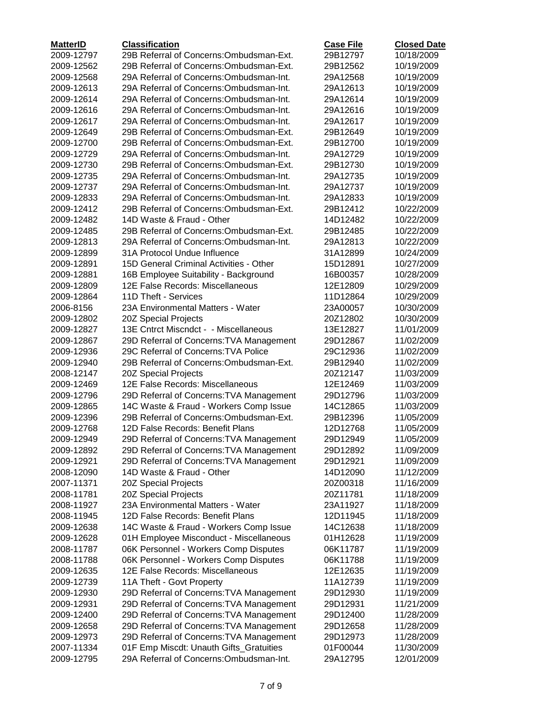| <b>MatterID</b> | <b>Classification</b>                    | <b>Case File</b> | <b>Closed Date</b> |
|-----------------|------------------------------------------|------------------|--------------------|
| 2009-12797      | 29B Referral of Concerns: Ombudsman-Ext. | 29B12797         | 10/18/2009         |
| 2009-12562      | 29B Referral of Concerns: Ombudsman-Ext. | 29B12562         | 10/19/2009         |
| 2009-12568      | 29A Referral of Concerns: Ombudsman-Int. | 29A12568         | 10/19/2009         |
| 2009-12613      | 29A Referral of Concerns: Ombudsman-Int. | 29A12613         | 10/19/2009         |
| 2009-12614      | 29A Referral of Concerns: Ombudsman-Int. | 29A12614         | 10/19/2009         |
| 2009-12616      | 29A Referral of Concerns: Ombudsman-Int. | 29A12616         | 10/19/2009         |
| 2009-12617      | 29A Referral of Concerns: Ombudsman-Int. | 29A12617         | 10/19/2009         |
| 2009-12649      | 29B Referral of Concerns: Ombudsman-Ext. | 29B12649         | 10/19/2009         |
| 2009-12700      | 29B Referral of Concerns: Ombudsman-Ext. | 29B12700         | 10/19/2009         |
| 2009-12729      | 29A Referral of Concerns: Ombudsman-Int. | 29A12729         | 10/19/2009         |
| 2009-12730      | 29B Referral of Concerns: Ombudsman-Ext. | 29B12730         | 10/19/2009         |
| 2009-12735      | 29A Referral of Concerns: Ombudsman-Int. | 29A12735         | 10/19/2009         |
| 2009-12737      | 29A Referral of Concerns: Ombudsman-Int. | 29A12737         | 10/19/2009         |
| 2009-12833      | 29A Referral of Concerns: Ombudsman-Int. | 29A12833         | 10/19/2009         |
| 2009-12412      | 29B Referral of Concerns: Ombudsman-Ext. | 29B12412         | 10/22/2009         |
| 2009-12482      | 14D Waste & Fraud - Other                | 14D12482         | 10/22/2009         |
| 2009-12485      | 29B Referral of Concerns: Ombudsman-Ext. | 29B12485         | 10/22/2009         |
| 2009-12813      | 29A Referral of Concerns: Ombudsman-Int. | 29A12813         | 10/22/2009         |
| 2009-12899      | 31A Protocol Undue Influence             | 31A12899         | 10/24/2009         |
| 2009-12891      | 15D General Criminal Activities - Other  | 15D12891         | 10/27/2009         |
| 2009-12881      | 16B Employee Suitability - Background    | 16B00357         | 10/28/2009         |
| 2009-12809      | 12E False Records: Miscellaneous         | 12E12809         | 10/29/2009         |
| 2009-12864      | 11D Theft - Services                     | 11D12864         | 10/29/2009         |
| 2006-8156       | 23A Environmental Matters - Water        | 23A00057         | 10/30/2009         |
| 2009-12802      | 20Z Special Projects                     | 20Z12802         | 10/30/2009         |
| 2009-12827      | 13E Cntrct Miscndct - - Miscellaneous    | 13E12827         | 11/01/2009         |
| 2009-12867      | 29D Referral of Concerns: TVA Management | 29D12867         | 11/02/2009         |
| 2009-12936      | 29C Referral of Concerns: TVA Police     | 29C12936         | 11/02/2009         |
| 2009-12940      | 29B Referral of Concerns: Ombudsman-Ext. | 29B12940         | 11/02/2009         |
| 2008-12147      | 20Z Special Projects                     | 20Z12147         | 11/03/2009         |
| 2009-12469      | 12E False Records: Miscellaneous         | 12E12469         | 11/03/2009         |
| 2009-12796      | 29D Referral of Concerns: TVA Management | 29D12796         | 11/03/2009         |
| 2009-12865      | 14C Waste & Fraud - Workers Comp Issue   | 14C12865         | 11/03/2009         |
| 2009-12396      | 29B Referral of Concerns: Ombudsman-Ext. | 29B12396         | 11/05/2009         |
| 2009-12768      | 12D False Records: Benefit Plans         | 12D12768         | 11/05/2009         |
| 2009-12949      | 29D Referral of Concerns: TVA Management | 29D12949         | 11/05/2009         |
| 2009-12892      | 29D Referral of Concerns: TVA Management | 29D12892         | 11/09/2009         |
| 2009-12921      | 29D Referral of Concerns: TVA Management | 29D12921         | 11/09/2009         |
| 2008-12090      | 14D Waste & Fraud - Other                | 14D12090         | 11/12/2009         |
| 2007-11371      | 20Z Special Projects                     | 20Z00318         | 11/16/2009         |
| 2008-11781      | 20Z Special Projects                     | 20Z11781         | 11/18/2009         |
| 2008-11927      | 23A Environmental Matters - Water        | 23A11927         | 11/18/2009         |
| 2008-11945      | 12D False Records: Benefit Plans         | 12D11945         | 11/18/2009         |
| 2009-12638      | 14C Waste & Fraud - Workers Comp Issue   | 14C12638         | 11/18/2009         |
| 2009-12628      | 01H Employee Misconduct - Miscellaneous  | 01H12628         | 11/19/2009         |
| 2008-11787      | 06K Personnel - Workers Comp Disputes    | 06K11787         | 11/19/2009         |
| 2008-11788      | 06K Personnel - Workers Comp Disputes    | 06K11788         | 11/19/2009         |
| 2009-12635      | 12E False Records: Miscellaneous         | 12E12635         | 11/19/2009         |
| 2009-12739      | 11A Theft - Govt Property                | 11A12739         | 11/19/2009         |
| 2009-12930      | 29D Referral of Concerns: TVA Management | 29D12930         | 11/19/2009         |
| 2009-12931      | 29D Referral of Concerns: TVA Management | 29D12931         | 11/21/2009         |
| 2009-12400      | 29D Referral of Concerns: TVA Management | 29D12400         | 11/28/2009         |
| 2009-12658      | 29D Referral of Concerns: TVA Management | 29D12658         | 11/28/2009         |
| 2009-12973      | 29D Referral of Concerns: TVA Management | 29D12973         | 11/28/2009         |
| 2007-11334      | 01F Emp Miscdt: Unauth Gifts_Gratuities  | 01F00044         | 11/30/2009         |
| 2009-12795      | 29A Referral of Concerns: Ombudsman-Int. | 29A12795         | 12/01/2009         |
|                 |                                          |                  |                    |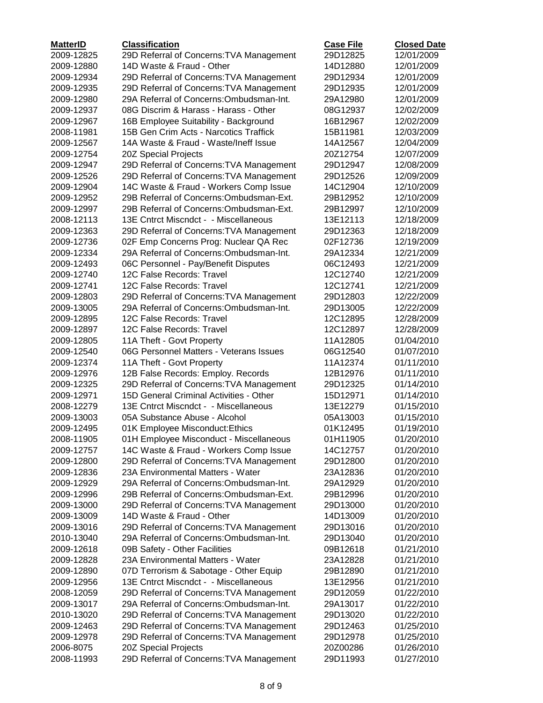| <b>MatterID</b> | <b>Classification</b>                    | <b>Case File</b> | <b>Closed Date</b> |
|-----------------|------------------------------------------|------------------|--------------------|
| 2009-12825      | 29D Referral of Concerns: TVA Management | 29D12825         | 12/01/2009         |
| 2009-12880      | 14D Waste & Fraud - Other                | 14D12880         | 12/01/2009         |
| 2009-12934      | 29D Referral of Concerns: TVA Management | 29D12934         | 12/01/2009         |
| 2009-12935      | 29D Referral of Concerns: TVA Management | 29D12935         | 12/01/2009         |
| 2009-12980      | 29A Referral of Concerns: Ombudsman-Int. | 29A12980         | 12/01/2009         |
| 2009-12937      | 08G Discrim & Harass - Harass - Other    | 08G12937         | 12/02/2009         |
| 2009-12967      | 16B Employee Suitability - Background    | 16B12967         | 12/02/2009         |
| 2008-11981      | 15B Gen Crim Acts - Narcotics Traffick   | 15B11981         | 12/03/2009         |
| 2009-12567      | 14A Waste & Fraud - Waste/Ineff Issue    | 14A12567         | 12/04/2009         |
| 2009-12754      | 20Z Special Projects                     | 20Z12754         | 12/07/2009         |
| 2009-12947      | 29D Referral of Concerns: TVA Management | 29D12947         | 12/08/2009         |
| 2009-12526      | 29D Referral of Concerns: TVA Management | 29D12526         | 12/09/2009         |
| 2009-12904      | 14C Waste & Fraud - Workers Comp Issue   | 14C12904         | 12/10/2009         |
| 2009-12952      | 29B Referral of Concerns: Ombudsman-Ext. | 29B12952         | 12/10/2009         |
| 2009-12997      | 29B Referral of Concerns: Ombudsman-Ext. | 29B12997         | 12/10/2009         |
| 2008-12113      | 13E Cntrct Miscndct - - Miscellaneous    | 13E12113         | 12/18/2009         |
| 2009-12363      | 29D Referral of Concerns: TVA Management | 29D12363         | 12/18/2009         |
| 2009-12736      | 02F Emp Concerns Prog: Nuclear QA Rec    | 02F12736         | 12/19/2009         |
| 2009-12334      | 29A Referral of Concerns: Ombudsman-Int. | 29A12334         | 12/21/2009         |
| 2009-12493      | 06C Personnel - Pay/Benefit Disputes     | 06C12493         | 12/21/2009         |
| 2009-12740      | 12C False Records: Travel                | 12C12740         | 12/21/2009         |
| 2009-12741      | 12C False Records: Travel                | 12C12741         | 12/21/2009         |
| 2009-12803      | 29D Referral of Concerns: TVA Management | 29D12803         | 12/22/2009         |
| 2009-13005      | 29A Referral of Concerns: Ombudsman-Int. | 29D13005         | 12/22/2009         |
| 2009-12895      | 12C False Records: Travel                | 12C12895         | 12/28/2009         |
| 2009-12897      | 12C False Records: Travel                | 12C12897         | 12/28/2009         |
| 2009-12805      | 11A Theft - Govt Property                | 11A12805         | 01/04/2010         |
| 2009-12540      | 06G Personnel Matters - Veterans Issues  | 06G12540         | 01/07/2010         |
| 2009-12374      | 11A Theft - Govt Property                | 11A12374         | 01/11/2010         |
| 2009-12976      | 12B False Records: Employ. Records       | 12B12976         | 01/11/2010         |
| 2009-12325      | 29D Referral of Concerns: TVA Management | 29D12325         | 01/14/2010         |
| 2009-12971      | 15D General Criminal Activities - Other  | 15D12971         | 01/14/2010         |
| 2008-12279      | 13E Cntrct Miscndct - - Miscellaneous    | 13E12279         | 01/15/2010         |
| 2009-13003      | 05A Substance Abuse - Alcohol            | 05A13003         | 01/15/2010         |
| 2009-12495      | 01K Employee Misconduct: Ethics          | 01K12495         | 01/19/2010         |
| 2008-11905      | 01H Employee Misconduct - Miscellaneous  | 01H11905         | 01/20/2010         |
| 2009-12757      | 14C Waste & Fraud - Workers Comp Issue   | 14C12757         | 01/20/2010         |
| 2009-12800      | 29D Referral of Concerns: TVA Management | 29D12800         | 01/20/2010         |
| 2009-12836      | 23A Environmental Matters - Water        | 23A12836         | 01/20/2010         |
| 2009-12929      | 29A Referral of Concerns: Ombudsman-Int. | 29A12929         | 01/20/2010         |
| 2009-12996      | 29B Referral of Concerns: Ombudsman-Ext. | 29B12996         | 01/20/2010         |
| 2009-13000      | 29D Referral of Concerns: TVA Management | 29D13000         | 01/20/2010         |
| 2009-13009      | 14D Waste & Fraud - Other                | 14D13009         | 01/20/2010         |
| 2009-13016      | 29D Referral of Concerns: TVA Management | 29D13016         | 01/20/2010         |
| 2010-13040      | 29A Referral of Concerns: Ombudsman-Int. | 29D13040         | 01/20/2010         |
| 2009-12618      | 09B Safety - Other Facilities            | 09B12618         | 01/21/2010         |
| 2009-12828      | 23A Environmental Matters - Water        | 23A12828         | 01/21/2010         |
| 2009-12890      | 07D Terrorism & Sabotage - Other Equip   | 29B12890         | 01/21/2010         |
| 2009-12956      | 13E Cntrct Miscndct - - Miscellaneous    | 13E12956         | 01/21/2010         |
| 2008-12059      | 29D Referral of Concerns: TVA Management | 29D12059         | 01/22/2010         |
| 2009-13017      | 29A Referral of Concerns: Ombudsman-Int. | 29A13017         | 01/22/2010         |
| 2010-13020      | 29D Referral of Concerns: TVA Management | 29D13020         | 01/22/2010         |
| 2009-12463      | 29D Referral of Concerns: TVA Management | 29D12463         | 01/25/2010         |
| 2009-12978      | 29D Referral of Concerns: TVA Management | 29D12978         | 01/25/2010         |
| 2006-8075       | 20Z Special Projects                     | 20Z00286         | 01/26/2010         |
| 2008-11993      | 29D Referral of Concerns: TVA Management | 29D11993         | 01/27/2010         |